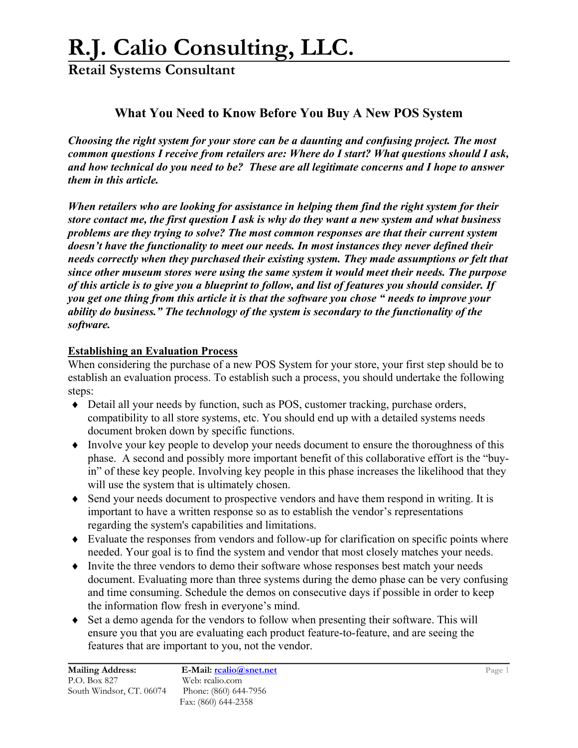**Retail Systems Consultant**

### **What You Need to Know Before You Buy A New POS System**

*Choosing the right system for your store can be a daunting and confusing project. The most common questions I receive from retailers are: Where do I start? What questions should I ask, and how technical do you need to be? These are all legitimate concerns and I hope to answer them in this article.* 

*When retailers who are looking for assistance in helping them find the right system for their store contact me, the first question I ask is why do they want a new system and what business problems are they trying to solve? The most common responses are that their current system doesn't have the functionality to meet our needs. In most instances they never defined their needs correctly when they purchased their existing system. They made assumptions or felt that since other museum stores were using the same system it would meet their needs. The purpose of this article is to give you a blueprint to follow, and list of features you should consider. If you get one thing from this article it is that the software you chose " needs to improve your ability do business." The technology of the system is secondary to the functionality of the software.* 

#### **Establishing an Evaluation Process**

When considering the purchase of a new POS System for your store, your first step should be to establish an evaluation process. To establish such a process, you should undertake the following steps:

- ♦ Detail all your needs by function, such as POS, customer tracking, purchase orders, compatibility to all store systems, etc. You should end up with a detailed systems needs document broken down by specific functions.
- ♦ Involve your key people to develop your needs document to ensure the thoroughness of this phase. A second and possibly more important benefit of this collaborative effort is the "buyin" of these key people. Involving key people in this phase increases the likelihood that they will use the system that is ultimately chosen.
- ♦ Send your needs document to prospective vendors and have them respond in writing. It is important to have a written response so as to establish the vendor's representations regarding the system's capabilities and limitations.
- ♦ Evaluate the responses from vendors and follow-up for clarification on specific points where needed. Your goal is to find the system and vendor that most closely matches your needs.
- ♦ Invite the three vendors to demo their software whose responses best match your needs document. Evaluating more than three systems during the demo phase can be very confusing and time consuming. Schedule the demos on consecutive days if possible in order to keep the information flow fresh in everyone's mind.
- ♦ Set a demo agenda for the vendors to follow when presenting their software. This will ensure you that you are evaluating each product feature-to-feature, and are seeing the features that are important to you, not the vendor.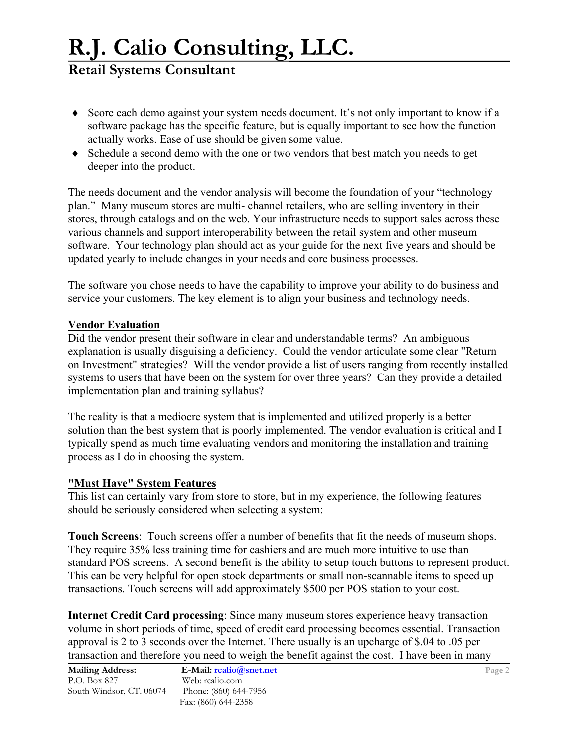## **Retail Systems Consultant**

- ♦ Score each demo against your system needs document. It's not only important to know if a software package has the specific feature, but is equally important to see how the function actually works. Ease of use should be given some value.
- ♦ Schedule a second demo with the one or two vendors that best match you needs to get deeper into the product.

The needs document and the vendor analysis will become the foundation of your "technology plan." Many museum stores are multi- channel retailers, who are selling inventory in their stores, through catalogs and on the web. Your infrastructure needs to support sales across these various channels and support interoperability between the retail system and other museum software. Your technology plan should act as your guide for the next five years and should be updated yearly to include changes in your needs and core business processes.

The software you chose needs to have the capability to improve your ability to do business and service your customers. The key element is to align your business and technology needs.

#### **Vendor Evaluation**

Did the vendor present their software in clear and understandable terms? An ambiguous explanation is usually disguising a deficiency. Could the vendor articulate some clear "Return on Investment" strategies? Will the vendor provide a list of users ranging from recently installed systems to users that have been on the system for over three years? Can they provide a detailed implementation plan and training syllabus?

The reality is that a mediocre system that is implemented and utilized properly is a better solution than the best system that is poorly implemented. The vendor evaluation is critical and I typically spend as much time evaluating vendors and monitoring the installation and training process as I do in choosing the system.

#### **"Must Have" System Features**

This list can certainly vary from store to store, but in my experience, the following features should be seriously considered when selecting a system:

**Touch Screens**: Touch screens offer a number of benefits that fit the needs of museum shops. They require 35% less training time for cashiers and are much more intuitive to use than standard POS screens. A second benefit is the ability to setup touch buttons to represent product. This can be very helpful for open stock departments or small non-scannable items to speed up transactions. Touch screens will add approximately \$500 per POS station to your cost.

**Internet Credit Card processing**: Since many museum stores experience heavy transaction volume in short periods of time, speed of credit card processing becomes essential. Transaction approval is 2 to 3 seconds over the Internet. There usually is an upcharge of \$.04 to .05 per transaction and therefore you need to weigh the benefit against the cost. I have been in many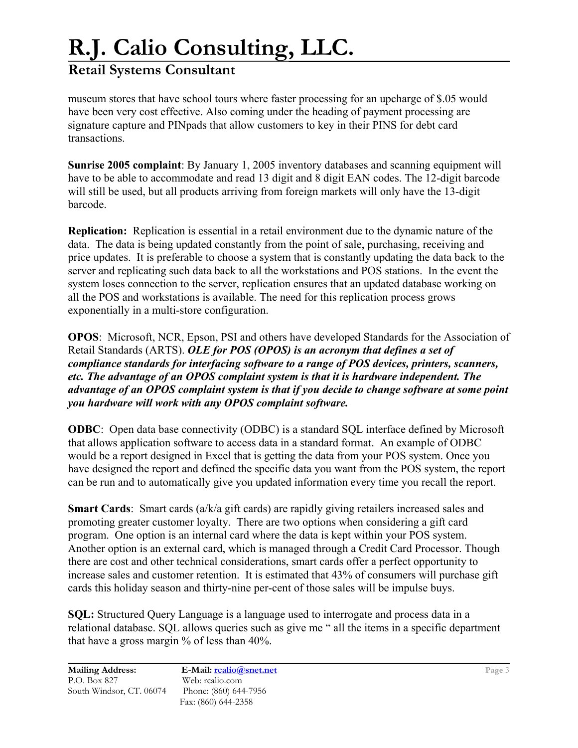## **Retail Systems Consultant**

museum stores that have school tours where faster processing for an upcharge of \$.05 would have been very cost effective. Also coming under the heading of payment processing are signature capture and PINpads that allow customers to key in their PINS for debt card transactions.

**Sunrise 2005 complaint**: By January 1, 2005 inventory databases and scanning equipment will have to be able to accommodate and read 13 digit and 8 digit EAN codes. The 12-digit barcode will still be used, but all products arriving from foreign markets will only have the 13-digit barcode.

**Replication:** Replication is essential in a retail environment due to the dynamic nature of the data. The data is being updated constantly from the point of sale, purchasing, receiving and price updates. It is preferable to choose a system that is constantly updating the data back to the server and replicating such data back to all the workstations and POS stations. In the event the system loses connection to the server, replication ensures that an updated database working on all the POS and workstations is available. The need for this replication process grows exponentially in a multi-store configuration.

**OPOS**: Microsoft, NCR, Epson, PSI and others have developed Standards for the Association of Retail Standards (ARTS). *OLE for POS (OPOS) is an acronym that defines a set of compliance standards for interfacing software to a range of POS devices, printers, scanners, etc. The advantage of an OPOS complaint system is that it is hardware independent. The advantage of an OPOS complaint system is that if you decide to change software at some point you hardware will work with any OPOS complaint software.*

**ODBC**: Open data base connectivity (ODBC) is a standard SQL interface defined by Microsoft that allows application software to access data in a standard format. An example of ODBC would be a report designed in Excel that is getting the data from your POS system. Once you have designed the report and defined the specific data you want from the POS system, the report can be run and to automatically give you updated information every time you recall the report.

**Smart Cards**: Smart cards (a/k/a gift cards) are rapidly giving retailers increased sales and promoting greater customer loyalty. There are two options when considering a gift card program. One option is an internal card where the data is kept within your POS system. Another option is an external card, which is managed through a Credit Card Processor. Though there are cost and other technical considerations, smart cards offer a perfect opportunity to increase sales and customer retention. It is estimated that 43% of consumers will purchase gift cards this holiday season and thirty-nine per-cent of those sales will be impulse buys.

**SQL:** Structured Query Language is a language used to interrogate and process data in a relational database. SQL allows queries such as give me " all the items in a specific department that have a gross margin % of less than 40%.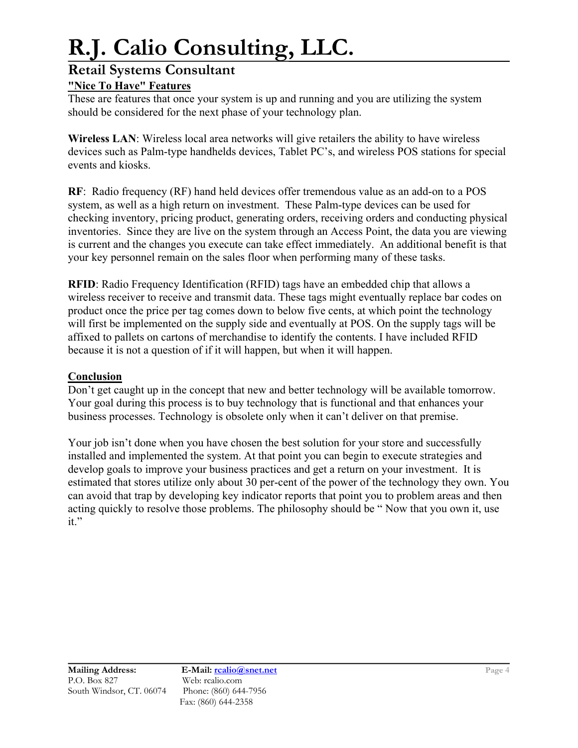### **Retail Systems Consultant**

### **"Nice To Have" Features**

These are features that once your system is up and running and you are utilizing the system should be considered for the next phase of your technology plan.

**Wireless LAN**: Wireless local area networks will give retailers the ability to have wireless devices such as Palm-type handhelds devices, Tablet PC's, and wireless POS stations for special events and kiosks.

**RF**: Radio frequency (RF) hand held devices offer tremendous value as an add-on to a POS system, as well as a high return on investment. These Palm-type devices can be used for checking inventory, pricing product, generating orders, receiving orders and conducting physical inventories. Since they are live on the system through an Access Point, the data you are viewing is current and the changes you execute can take effect immediately. An additional benefit is that your key personnel remain on the sales floor when performing many of these tasks.

**RFID**: Radio Frequency Identification (RFID) tags have an embedded chip that allows a wireless receiver to receive and transmit data. These tags might eventually replace bar codes on product once the price per tag comes down to below five cents, at which point the technology will first be implemented on the supply side and eventually at POS. On the supply tags will be affixed to pallets on cartons of merchandise to identify the contents. I have included RFID because it is not a question of if it will happen, but when it will happen.

#### **Conclusion**

Don't get caught up in the concept that new and better technology will be available tomorrow. Your goal during this process is to buy technology that is functional and that enhances your business processes. Technology is obsolete only when it can't deliver on that premise.

Your job isn't done when you have chosen the best solution for your store and successfully installed and implemented the system. At that point you can begin to execute strategies and develop goals to improve your business practices and get a return on your investment. It is estimated that stores utilize only about 30 per-cent of the power of the technology they own. You can avoid that trap by developing key indicator reports that point you to problem areas and then acting quickly to resolve those problems. The philosophy should be " Now that you own it, use it."